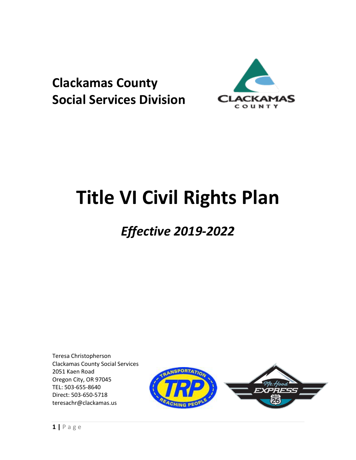**Clackamas County Social Services Division**



# **Title VI Civil Rights Plan**

## *Effective 2019-2022*

Teresa Christopherson Clackamas County Social Services 2051 Kaen Road Oregon City, OR 97045 TEL: 503-655-8640 Direct: 503-650-5718 teresachr@clackamas.us

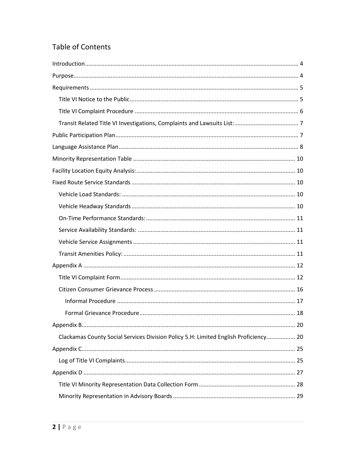## Table of Contents

| Clackamas County Social Services Division Policy 5.H: Limited English Proficiency 20 |
|--------------------------------------------------------------------------------------|
|                                                                                      |
|                                                                                      |
|                                                                                      |
|                                                                                      |
|                                                                                      |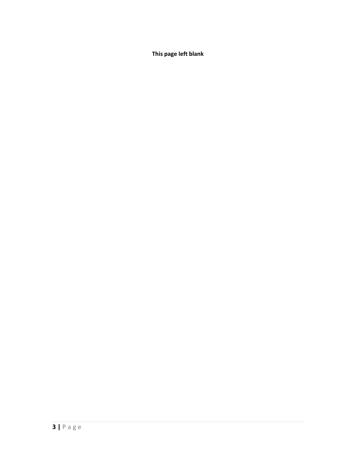**This page left blank**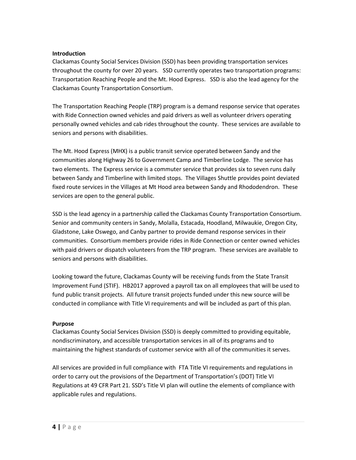#### <span id="page-3-0"></span>**Introduction**

Clackamas County Social Services Division (SSD) has been providing transportation services throughout the county for over 20 years. SSD currently operates two transportation programs: Transportation Reaching People and the Mt. Hood Express. SSD is also the lead agency for the Clackamas County Transportation Consortium.

The Transportation Reaching People (TRP) program is a demand response service that operates with Ride Connection owned vehicles and paid drivers as well as volunteer drivers operating personally owned vehicles and cab rides throughout the county. These services are available to seniors and persons with disabilities.

The Mt. Hood Express (MHX) is a public transit service operated between Sandy and the communities along Highway 26 to Government Camp and Timberline Lodge. The service has two elements. The Express service is a commuter service that provides six to seven runs daily between Sandy and Timberline with limited stops. The Villages Shuttle provides point deviated fixed route services in the Villages at Mt Hood area between Sandy and Rhododendron. These services are open to the general public.

SSD is the lead agency in a partnership called the Clackamas County Transportation Consortium. Senior and community centers in Sandy, Molalla, Estacada, Hoodland, Milwaukie, Oregon City, Gladstone, Lake Oswego, and Canby partner to provide demand response services in their communities. Consortium members provide rides in Ride Connection or center owned vehicles with paid drivers or dispatch volunteers from the TRP program. These services are available to seniors and persons with disabilities.

Looking toward the future, Clackamas County will be receiving funds from the State Transit Improvement Fund (STIF). HB2017 approved a payroll tax on all employees that will be used to fund public transit projects. All future transit projects funded under this new source will be conducted in compliance with Title VI requirements and will be included as part of this plan.

#### <span id="page-3-1"></span>**Purpose**

Clackamas County Social Services Division (SSD) is deeply committed to providing equitable, nondiscriminatory, and accessible transportation services in all of its programs and to maintaining the highest standards of customer service with all of the communities it serves.

All services are provided in full compliance with FTA Title VI requirements and regulations in order to carry out the provisions of the Department of Transportation's (DOT) Title VI Regulations at 49 CFR Part 21. SSD's Title VI plan will outline the elements of compliance with applicable rules and regulations.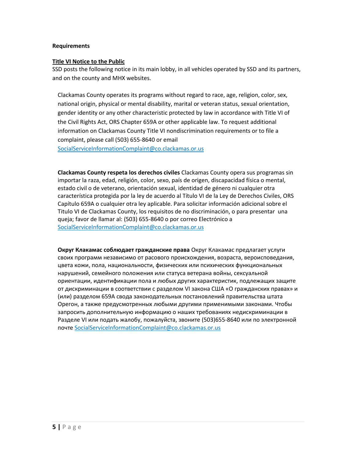#### <span id="page-4-0"></span>**Requirements**

#### <span id="page-4-1"></span>**Title VI Notice to the Public**

SSD posts the following notice in its main lobby, in all vehicles operated by SSD and its partners, and on the county and MHX websites.

Clackamas County operates its programs without regard to race, age, religion, color, sex, national origin, physical or mental disability, marital or veteran status, sexual orientation, gender identity or any other characteristic protected by law in accordance with Title VI of the Civil Rights Act, ORS Chapter 659A or other applicable law. To request additional information on Clackamas County Title VI nondiscrimination requirements or to file a complaint, please call (503) 655-8640 or email

[SocialServiceInformationComplaint@co.clackamas.or.us](mailto:SocialServiceInformationComplaint@co.clackamas.or.us)

**Clackamas County respeta los derechos civiles** Clackamas County opera sus programas sin importar la raza, edad, religión, color, sexo, país de origen, discapacidad física o mental, estado civil o de veterano, orientación sexual, identidad de género ni cualquier otra característica protegida por la ley de acuerdo al Título VI de la Ley de Derechos Civiles, ORS Capítulo 659A o cualquier otra ley aplicable. Para solicitar información adicional sobre el Titulo VI de Clackamas County, los requisitos de no discriminación, o para presentar una queja; favor de llamar al: (503) 655-8640 o por correo Electrónico a [SocialServiceInformationComplaint@co.clackamas.or.us](mailto:SocialServiceInformationComplaint@co.clackamas.or.us)

**Округ Клакамас соблюдает гражданские права** Округ Клакамас предлагает услуги своих программ независимо от расового происхождения, возраста, вероисповедания, цвета кожи, пола, национальности, физических или психических функциональных нарушений, семейного положения или статуса ветерана войны, сексуальной ориентации, идентификации пола и любых других характеристик, подлежащих защите от дискриминации в соответствии с разделом VI закона США «О гражданских правах» и (или) разделом 659A свода законодательных постановлений правительства штата Орегон, а также предусмотренных любыми другими применимыми законами. Чтобы запросить дополнительную информацию о наших требованиях недискриминации в Разделе VI или подать жалобу, пожалуйста, звоните (503)655-8640 или по электронной почте [SocialServiceInformationComplaint@co.clackamas.or.us](mailto:SocialServiceInformationComplaint@co.clackamas.or.us)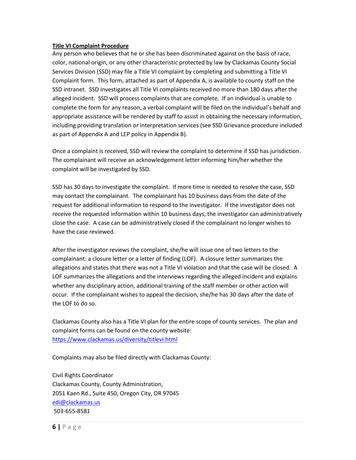#### <span id="page-5-0"></span>**Title VI Complaint Procedure**

Any person who believes that he or she has been discriminated against on the basis of race, color, national origin, or any other characteristic protected by law by Clackamas County Social Services Division (SSD) may file a Title VI complaint by completing and submitting a Title VI Complaint form. This form, attached as part of Appendix A, is available to county staff on the SSD intranet. SSD investigates all Title VI complaints received no more than 180 days after the alleged incident. SSD will process complaints that are complete. If an individual is unable to complete the form for any reason, a verbal complaint will be filed on the individual's behalf and appropriate assistance will be rendered by staff to assist in obtaining the necessary information, including providing translation or interpretation services (see SSD Grievance procedure included as part of Appendix A and LEP policy in Appendix B).

Once a complaint is received, SSD will review the complaint to determine if SSD has jurisdiction. The complainant will receive an acknowledgement letter informing him/her whether the complaint will be investigated by SSD.

SSD has 30 days to investigate the complaint. If more time is needed to resolve the case, SSD may contact the complainant. The complainant has 10 business days from the date of the request for additional information to respond to the investigator. If the investigator does not receive the requested information within 10 business days, the investigator can administratively close the case. A case can be administratively closed if the complainant no longer wishes to have the case reviewed.

After the investigator reviews the complaint, she/he will issue one of two letters to the complainant: a closure letter or a letter of finding (LOF). A closure letter summarizes the allegations and states that there was not a Title VI violation and that the case will be closed. A LOF summarizes the allegations and the interviews regarding the alleged incident and explains whether any disciplinary action, additional training of the staff member or other action will occur. If the complainant wishes to appeal the decision, she/he has 30 days after the date of the LOF to do so.

Clackamas County also has a Title VI plan for the entire scope of county services. The plan and complaint forms can be found on the county website: <https://www.clackamas.us/diversity/titlevi.html>

Complaints may also be filed directly with Clackamas County:

Civil Rights Coordinator Clackamas County, County Administration, 2051 Kaen Rd., Suite 450, Oregon City, OR 97045 [edi@clackamas.us](mailto:edi@clackamas.us) 503-655-8581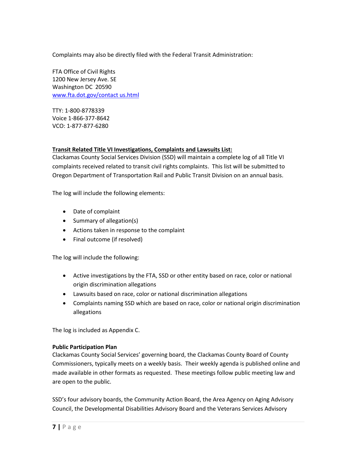Complaints may also be directly filed with the Federal Transit Administration:

FTA Office of Civil Rights 1200 New Jersey Ave. SE Washington DC 20590 [www.fta.dot.gov/contact us.html](http://www.fta.dot.gov/contact%20us.html)

TTY: 1-800-8778339 Voice 1-866-377-8642 VCO: 1-877-877-6280

#### <span id="page-6-0"></span>**Transit Related Title VI Investigations, Complaints and Lawsuits List:**

Clackamas County Social Services Division (SSD) will maintain a complete log of all Title VI complaints received related to transit civil rights complaints. This list will be submitted to Oregon Department of Transportation Rail and Public Transit Division on an annual basis.

The log will include the following elements:

- Date of complaint
- Summary of allegation(s)
- Actions taken in response to the complaint
- Final outcome (if resolved)

The log will include the following:

- Active investigations by the FTA, SSD or other entity based on race, color or national origin discrimination allegations
- Lawsuits based on race, color or national discrimination allegations
- Complaints naming SSD which are based on race, color or national origin discrimination allegations

The log is included as Appendix C.

### <span id="page-6-1"></span>**Public Participation Plan**

Clackamas County Social Services' governing board, the Clackamas County Board of County Commissioners, typically meets on a weekly basis. Their weekly agenda is published online and made available in other formats as requested. These meetings follow public meeting law and are open to the public.

SSD's four advisory boards, the Community Action Board, the Area Agency on Aging Advisory Council, the Developmental Disabilities Advisory Board and the Veterans Services Advisory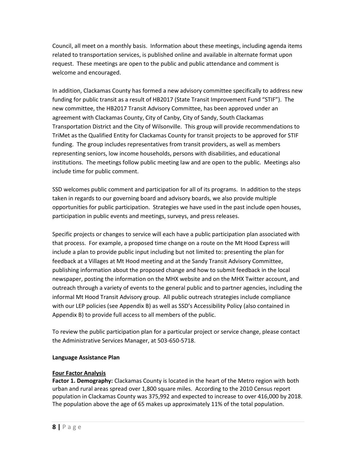Council, all meet on a monthly basis. Information about these meetings, including agenda items related to transportation services, is published online and available in alternate format upon request. These meetings are open to the public and public attendance and comment is welcome and encouraged.

In addition, Clackamas County has formed a new advisory committee specifically to address new funding for public transit as a result of HB2017 (State Transit Improvement Fund "STIF"). The new committee, the HB2017 Transit Advisory Committee, has been approved under an agreement with Clackamas County, City of Canby, City of Sandy, South Clackamas Transportation District and the City of Wilsonville. This group will provide recommendations to TriMet as the Qualified Entity for Clackamas County for transit projects to be approved for STIF funding. The group includes representatives from transit providers, as well as members representing seniors, low income households, persons with disabilities, and educational institutions. The meetings follow public meeting law and are open to the public. Meetings also include time for public comment.

SSD welcomes public comment and participation for all of its programs. In addition to the steps taken in regards to our governing board and advisory boards, we also provide multiple opportunities for public participation. Strategies we have used in the past include open houses, participation in public events and meetings, surveys, and press releases.

Specific projects or changes to service will each have a public participation plan associated with that process. For example, a proposed time change on a route on the Mt Hood Express will include a plan to provide public input including but not limited to: presenting the plan for feedback at a Villages at Mt Hood meeting and at the Sandy Transit Advisory Committee, publishing information about the proposed change and how to submit feedback in the local newspaper, posting the information on the MHX website and on the MHX Twitter account, and outreach through a variety of events to the general public and to partner agencies, including the informal Mt Hood Transit Advisory group. All public outreach strategies include compliance with our LEP policies (see Appendix B) as well as SSD's Accessibility Policy (also contained in Appendix B) to provide full access to all members of the public.

To review the public participation plan for a particular project or service change, please contact the Administrative Services Manager, at 503-650-5718.

#### <span id="page-7-0"></span>**Language Assistance Plan**

#### **Four Factor Analysis**

**Factor 1. Demography:** Clackamas County is located in the heart of the Metro region with both urban and rural areas spread over 1,800 square miles. According to the 2010 Census report population in Clackamas County was 375,992 and expected to increase to over 416,000 by 2018. The population above the age of 65 makes up approximately 11% of the total population.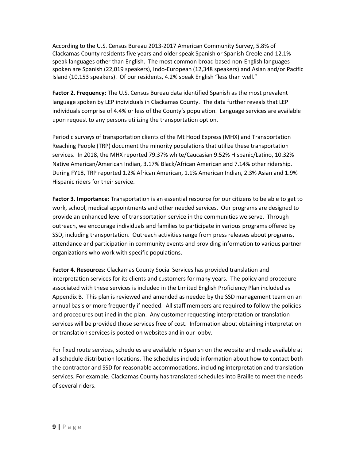According to the U.S. Census Bureau 2013-2017 American Community Survey, 5.8% of Clackamas County residents five years and older speak Spanish or Spanish Creole and 12.1% speak languages other than English. The most common broad based non-English languages spoken are Spanish (22,019 speakers), Indo-European (12,348 speakers) and Asian and/or Pacific Island (10,153 speakers). Of our residents, 4.2% speak English "less than well."

**Factor 2. Frequency:** The U.S. Census Bureau data identified Spanish as the most prevalent language spoken by LEP individuals in Clackamas County. The data further reveals that LEP individuals comprise of 4.4% or less of the County's population. Language services are available upon request to any persons utilizing the transportation option.

Periodic surveys of transportation clients of the Mt Hood Express (MHX) and Transportation Reaching People (TRP) document the minority populations that utilize these transportation services. In 2018, the MHX reported 79.37% white/Caucasian 9.52% Hispanic/Latino, 10.32% Native American/American Indian, 3.17% Black/African American and 7.14% other ridership. During FY18, TRP reported 1.2% African American, 1.1% American Indian, 2.3% Asian and 1.9% Hispanic riders for their service.

**Factor 3. Importance:** Transportation is an essential resource for our citizens to be able to get to work, school, medical appointments and other needed services. Our programs are designed to provide an enhanced level of transportation service in the communities we serve. Through outreach, we encourage individuals and families to participate in various programs offered by SSD, including transportation. Outreach activities range from press releases about programs, attendance and participation in community events and providing information to various partner organizations who work with specific populations.

**Factor 4. Resources:** Clackamas County Social Services has provided translation and interpretation services for its clients and customers for many years. The policy and procedure associated with these services is included in the Limited English Proficiency Plan included as Appendix B. This plan is reviewed and amended as needed by the SSD management team on an annual basis or more frequently if needed. All staff members are required to follow the policies and procedures outlined in the plan. Any customer requesting interpretation or translation services will be provided those services free of cost. Information about obtaining interpretation or translation services is posted on websites and in our lobby.

<span id="page-8-0"></span>For fixed route services, schedules are available in Spanish on the website and made available at all schedule distribution locations. The schedules include information about how to contact both the contractor and SSD for reasonable accommodations, including interpretation and translation services. For example, Clackamas County has translated schedules into Braille to meet the needs of several riders.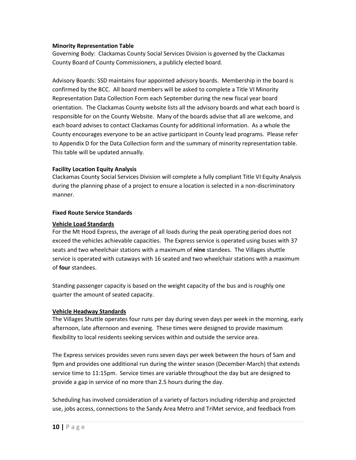#### **Minority Representation Table**

Governing Body: Clackamas County Social Services Division is governed by the Clackamas County Board of County Commissioners, a publicly elected board.

Advisory Boards: SSD maintains four appointed advisory boards. Membership in the board is confirmed by the BCC. All board members will be asked to complete a Title VI Minority Representation Data Collection Form each September during the new fiscal year board orientation. The Clackamas County website lists all the advisory boards and what each board is responsible for on the County Website. Many of the boards advise that all are welcome, and each board advises to contact Clackamas County for additional information. As a whole the County encourages everyone to be an active participant in County lead programs. Please refer to Appendix D for the Data Collection form and the summary of minority representation table. This table will be updated annually.

#### <span id="page-9-0"></span>**Facility Location Equity Analysis**

Clackamas County Social Services Division will complete a fully compliant Title VI Equity Analysis during the planning phase of a project to ensure a location is selected in a non-discriminatory manner.

#### <span id="page-9-1"></span>**Fixed Route Service Standards**

#### <span id="page-9-2"></span>**Vehicle Load Standards**

For the Mt Hood Express, the average of all loads during the peak operating period does not exceed the vehicles achievable capacities. The Express service is operated using buses with 37 seats and two wheelchair stations with a maximum of **nine** standees. The Villages shuttle service is operated with cutaways with 16 seated and two wheelchair stations with a maximum of **four** standees.

Standing passenger capacity is based on the weight capacity of the bus and is roughly one quarter the amount of seated capacity.

#### <span id="page-9-3"></span>**Vehicle Headway Standards**

The Villages Shuttle operates four runs per day during seven days per week in the morning, early afternoon, late afternoon and evening. These times were designed to provide maximum flexibility to local residents seeking services within and outside the service area.

The Express services provides seven runs seven days per week between the hours of 5am and 9pm and provides one additional run during the winter season (December-March) that extends service time to 11:15pm. Service times are variable throughout the day but are designed to provide a gap in service of no more than 2.5 hours during the day.

Scheduling has involved consideration of a variety of factors including ridership and projected use, jobs access, connections to the Sandy Area Metro and TriMet service, and feedback from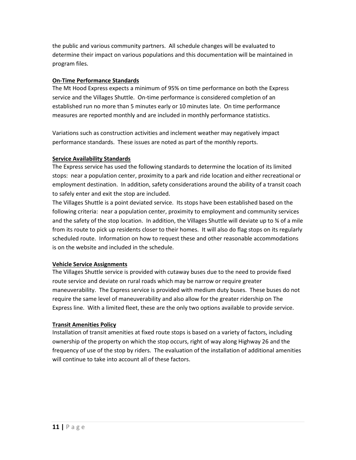the public and various community partners. All schedule changes will be evaluated to determine their impact on various populations and this documentation will be maintained in program files.

#### <span id="page-10-0"></span>**On-Time Performance Standards**

The Mt Hood Express expects a minimum of 95% on time performance on both the Express service and the Villages Shuttle. On-time performance is considered completion of an established run no more than 5 minutes early or 10 minutes late. On time performance measures are reported monthly and are included in monthly performance statistics.

Variations such as construction activities and inclement weather may negatively impact performance standards. These issues are noted as part of the monthly reports.

#### <span id="page-10-1"></span>**Service Availability Standards**

The Express service has used the following standards to determine the location of its limited stops: near a population center, proximity to a park and ride location and either recreational or employment destination. In addition, safety considerations around the ability of a transit coach to safely enter and exit the stop are included.

The Villages Shuttle is a point deviated service. Its stops have been established based on the following criteria: near a population center, proximity to employment and community services and the safety of the stop location. In addition, the Villages Shuttle will deviate up to ¾ of a mile from its route to pick up residents closer to their homes. It will also do flag stops on its regularly scheduled route. Information on how to request these and other reasonable accommodations is on the website and included in the schedule.

#### <span id="page-10-2"></span>**Vehicle Service Assignments**

The Villages Shuttle service is provided with cutaway buses due to the need to provide fixed route service and deviate on rural roads which may be narrow or require greater maneuverability. The Express service is provided with medium duty buses. These buses do not require the same level of maneuverability and also allow for the greater ridership on The Express line. With a limited fleet, these are the only two options available to provide service.

### <span id="page-10-3"></span>**Transit Amenities Policy**

Installation of transit amenities at fixed route stops is based on a variety of factors, including ownership of the property on which the stop occurs, right of way along Highway 26 and the frequency of use of the stop by riders. The evaluation of the installation of additional amenities will continue to take into account all of these factors.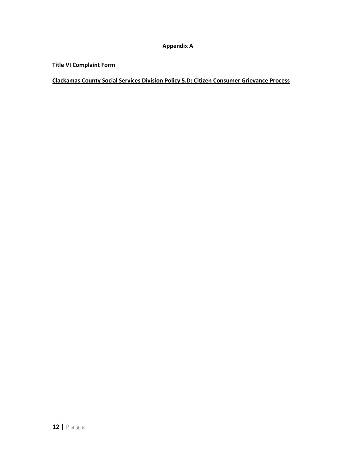## **Appendix A**

### <span id="page-11-1"></span><span id="page-11-0"></span>**Title VI Complaint Form**

**Clackamas County Social Services Division Policy 5.D: Citizen Consumer Grievance Process**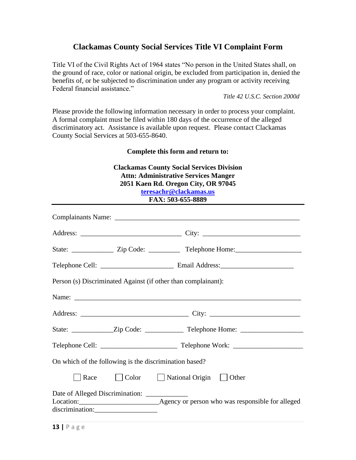## **Clackamas County Social Services Title VI Complaint Form**

Title VI of the Civil Rights Act of 1964 states "No person in the United States shall, on the ground of race, color or national origin, be excluded from participation in, denied the benefits of, or be subjected to discrimination under any program or activity receiving Federal financial assistance."

*Title 42 U.S.C. Section 2000d*

Please provide the following information necessary in order to process your complaint. A formal complaint must be filed within 180 days of the occurrence of the alleged discriminatory act. Assistance is available upon request. Please contact Clackamas County Social Services at 503-655-8640.

#### **Complete this form and return to:**

**Clackamas County Social Services Division Attn: Administrative Services Manger 2051 Kaen Rd. Oregon City, OR 97045 [teresachr@clackamas.us](mailto:teresachr@clackamas.us) FAX: 503-655-8889**

|                                                        | State: _________________ Zip Code: _____________ Telephone Home: ________________ |                                                               |  |  |  |
|--------------------------------------------------------|-----------------------------------------------------------------------------------|---------------------------------------------------------------|--|--|--|
|                                                        |                                                                                   |                                                               |  |  |  |
|                                                        |                                                                                   | Person (s) Discriminated Against (if other than complainant): |  |  |  |
|                                                        |                                                                                   |                                                               |  |  |  |
|                                                        |                                                                                   |                                                               |  |  |  |
|                                                        |                                                                                   |                                                               |  |  |  |
|                                                        |                                                                                   |                                                               |  |  |  |
| On which of the following is the discrimination based? |                                                                                   |                                                               |  |  |  |
|                                                        |                                                                                   | Race Color National Origin Other                              |  |  |  |
| Date of Alleged Discrimination: ____________           |                                                                                   |                                                               |  |  |  |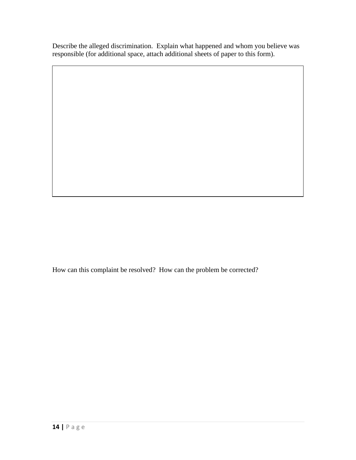Describe the alleged discrimination. Explain what happened and whom you believe was responsible (for additional space, attach additional sheets of paper to this form).

How can this complaint be resolved? How can the problem be corrected?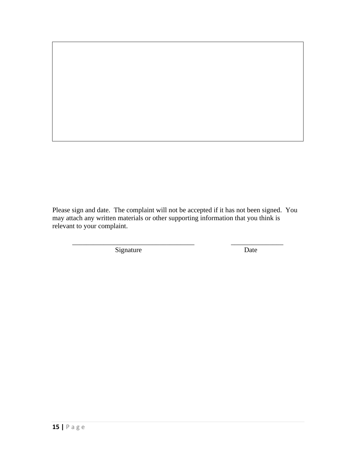Please sign and date. The complaint will not be accepted if it has not been signed. You may attach any written materials or other supporting information that you think is relevant to your complaint.

Signature Date

\_\_\_\_\_\_\_\_\_\_\_\_\_\_\_\_\_\_\_\_\_\_\_\_\_\_\_\_\_\_\_\_\_\_\_ \_\_\_\_\_\_\_\_\_\_\_\_\_\_\_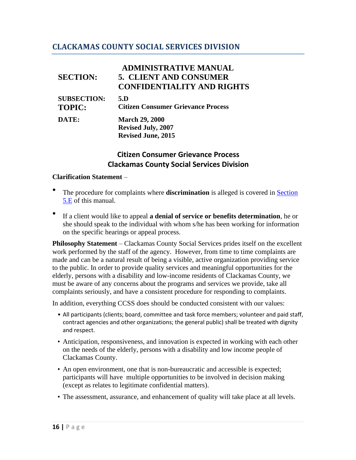## **CLACKAMAS COUNTY SOCIAL SERVICES DIVISION**

## **ADMINISTRATIVE MANUAL SECTION: 5. CLIENT AND CONSUMER CONFIDENTIALITY AND RIGHTS SUBSECTION: 5.D**

| <b>TOPIC:</b> | <b>Citizen Consumer Grievance Process</b> |
|---------------|-------------------------------------------|
| DATE:         | <b>March 29, 2000</b>                     |
|               | <b>Revised July, 2007</b>                 |
|               | <b>Revised June, 2015</b>                 |

## <span id="page-15-0"></span>**Citizen Consumer Grievance Process Clackamas County Social Services Division**

#### **Clarification Statement** –

- **·** The procedure for complaints where **discrimination** is alleged is covered in [Section](http://thor/CCSSTrillium/CCSS%20Admin%20Manual/Section%205/5.E%20Client%20Discrimination.htm)  [5.E](http://thor/CCSSTrillium/CCSS%20Admin%20Manual/Section%205/5.E%20Client%20Discrimination.htm) of this manual.
- **·** If a client would like to appeal **a denial of service or benefits determination**, he or she should speak to the individual with whom s/he has been working for information on the specific hearings or appeal process.

**Philosophy Statement** – Clackamas County Social Services prides itself on the excellent work performed by the staff of the agency. However, from time to time complaints are made and can be a natural result of being a visible, active organization providing service to the public. In order to provide quality services and meaningful opportunities for the elderly, persons with a disability and low-income residents of Clackamas County, we must be aware of any concerns about the programs and services we provide, take all complaints seriously, and have a consistent procedure for responding to complaints.

In addition, everything CCSS does should be conducted consistent with our values:

- All participants (clients; board, committee and task force members; volunteer and paid staff, contract agencies and other organizations; the general public) shall be treated with dignity and respect.
- Anticipation, responsiveness, and innovation is expected in working with each other on the needs of the elderly, persons with a disability and low income people of Clackamas County.
- An open environment, one that is non-bureaucratic and accessible is expected; participants will have multiple opportunities to be involved in decision making (except as relates to legitimate confidential matters).
- The assessment, assurance, and enhancement of quality will take place at all levels.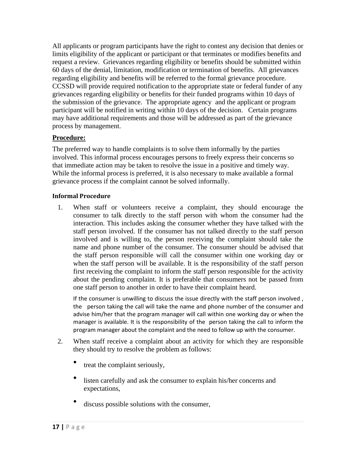All applicants or program participants have the right to contest any decision that denies or limits eligibility of the applicant or participant or that terminates or modifies benefits and request a review. Grievances regarding eligibility or benefits should be submitted within 60 days of the denial, limitation, modification or termination of benefits. All grievances regarding eligibility and benefits will be referred to the formal grievance procedure. CCSSD will provide required notification to the appropriate state or federal funder of any grievances regarding eligibility or benefits for their funded programs within 10 days of the submission of the grievance. The appropriate agency and the applicant or program participant will be notified in writing within 10 days of the decision. Certain programs may have additional requirements and those will be addressed as part of the grievance process by management.

## **Procedure:**

The preferred way to handle complaints is to solve them informally by the parties involved. This informal process encourages persons to freely express their concerns so that immediate action may be taken to resolve the issue in a positive and timely way. While the informal process is preferred, it is also necessary to make available a formal grievance process if the complaint cannot be solved informally.

### <span id="page-16-0"></span>**Informal Procedure**

1. When staff or volunteers receive a complaint, they should encourage the consumer to talk directly to the staff person with whom the consumer had the interaction. This includes asking the consumer whether they have talked with the staff person involved. If the consumer has not talked directly to the staff person involved and is willing to, the person receiving the complaint should take the name and phone number of the consumer. The consumer should be advised that the staff person responsible will call the consumer within one working day or when the staff person will be available. It is the responsibility of the staff person first receiving the complaint to inform the staff person responsible for the activity about the pending complaint. It is preferable that consumers not be passed from one staff person to another in order to have their complaint heard.

If the consumer is unwilling to discuss the issue directly with the staff person involved , the person taking the call will take the name and phone number of the consumer and advise him/her that the program manager will call within one working day or when the manager is available. It is the responsibility of the person taking the call to inform the program manager about the complaint and the need to follow up with the consumer.

- 2. When staff receive a complaint about an activity for which they are responsible they should try to resolve the problem as follows:
	- **·** treat the complaint seriously,
	- listen carefully and ask the consumer to explain his/her concerns and expectations,
	- discuss possible solutions with the consumer,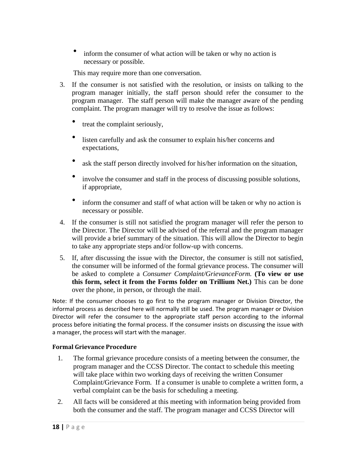**·** inform the consumer of what action will be taken or why no action is necessary or possible.

This may require more than one conversation.

- 3. If the consumer is not satisfied with the resolution, or insists on talking to the program manager initially, the staff person should refer the consumer to the program manager. The staff person will make the manager aware of the pending complaint. The program manager will try to resolve the issue as follows:
	- **·** treat the complaint seriously,
	- listen carefully and ask the consumer to explain his/her concerns and expectations,
	- ask the staff person directly involved for his/her information on the situation,
	- **·** involve the consumer and staff in the process of discussing possible solutions, if appropriate,
	- **·** inform the consumer and staff of what action will be taken or why no action is necessary or possible.
- 4. If the consumer is still not satisfied the program manager will refer the person to the Director. The Director will be advised of the referral and the program manager will provide a brief summary of the situation. This will allow the Director to begin to take any appropriate steps and/or follow-up with concerns.
- 5. If, after discussing the issue with the Director, the consumer is still not satisfied, the consumer will be informed of the formal grievance process. The consumer will be asked to complete a *Consumer Complaint/GrievanceForm.* **(To view or use this form, select it from the Forms folder on Trillium Net.)** This can be done over the phone, in person, or through the mail.

Note: If the consumer chooses to go first to the program manager or Division Director, the informal process as described here will normally still be used. The program manager or Division Director will refer the consumer to the appropriate staff person according to the informal process before initiating the formal process. If the consumer insists on discussing the issue with a manager, the process will start with the manager.

### <span id="page-17-0"></span>**Formal Grievance Procedure**

- 1. The formal grievance procedure consists of a meeting between the consumer, the program manager and the CCSS Director. The contact to schedule this meeting will take place within two working days of receiving the written Consumer Complaint/Grievance Form*.* If a consumer is unable to complete a written form, a verbal complaint can be the basis for scheduling a meeting.
- 2. All facts will be considered at this meeting with information being provided from both the consumer and the staff. The program manager and CCSS Director will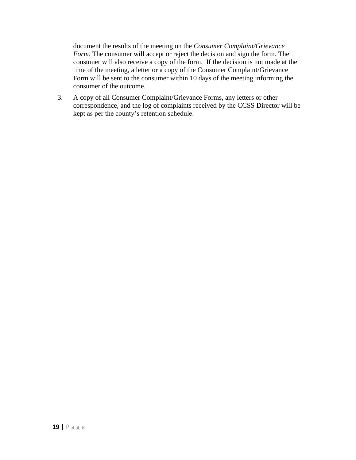document the results of the meeting on the *Consumer Complaint/Grievance Form.* The consumer will accept or reject the decision and sign the form. The consumer will also receive a copy of the form. If the decision is not made at the time of the meeting, a letter or a copy of the Consumer Complaint/Grievance Form will be sent to the consumer within 10 days of the meeting informing the consumer of the outcome.

3. A copy of all Consumer Complaint/Grievance Forms*,* any letters or other correspondence, and the log of complaints received by the CCSS Director will be kept as per the county's retention schedule.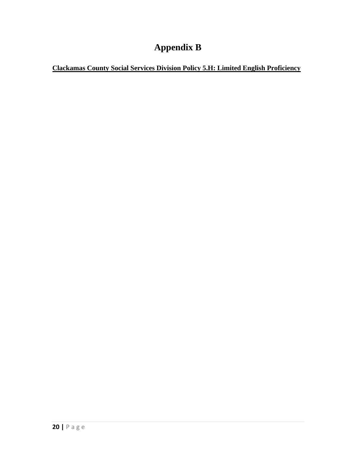## **Appendix B**

<span id="page-19-1"></span><span id="page-19-0"></span>**Clackamas County Social Services Division Policy 5.H: Limited English Proficiency**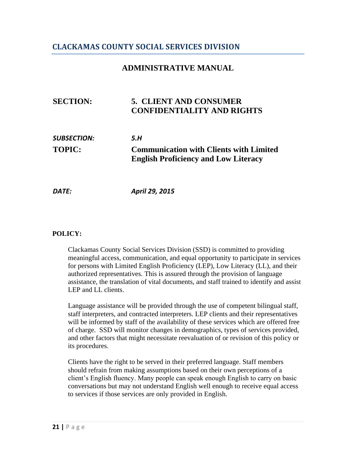## **CLACKAMAS COUNTY SOCIAL SERVICES DIVISION**

## **ADMINISTRATIVE MANUAL**

| <b>SECTION:</b>    | <b>5. CLIENT AND CONSUMER</b><br><b>CONFIDENTIALITY AND RIGHTS</b>                            |  |  |
|--------------------|-----------------------------------------------------------------------------------------------|--|--|
| <b>SUBSECTION:</b> | 5.H                                                                                           |  |  |
| <b>TOPIC:</b>      | <b>Communication with Clients with Limited</b><br><b>English Proficiency and Low Literacy</b> |  |  |

*DATE: April 29, 2015*

### **POLICY:**

Clackamas County Social Services Division (SSD) is committed to providing meaningful access, communication, and equal opportunity to participate in services for persons with Limited English Proficiency (LEP), Low Literacy (LL), and their authorized representatives. This is assured through the provision of language assistance, the translation of vital documents, and staff trained to identify and assist LEP and LL clients.

Language assistance will be provided through the use of competent bilingual staff, staff interpreters, and contracted interpreters. LEP clients and their representatives will be informed by staff of the availability of these services which are offered free of charge. SSD will monitor changes in demographics, types of services provided, and other factors that might necessitate reevaluation of or revision of this policy or its procedures.

Clients have the right to be served in their preferred language. Staff members should refrain from making assumptions based on their own perceptions of a client's English fluency. Many people can speak enough English to carry on basic conversations but may not understand English well enough to receive equal access to services if those services are only provided in English.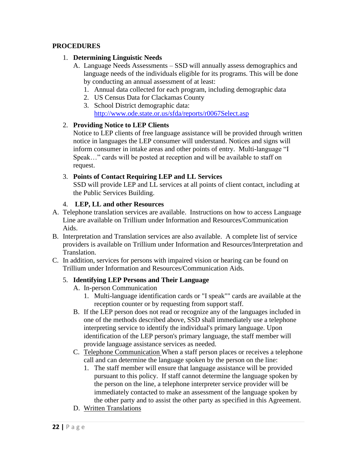## **PROCEDURES**

## 1. **Determining Linguistic Needs**

- A. Language Needs Assessments SSD will annually assess demographics and language needs of the individuals eligible for its programs. This will be done by conducting an annual assessment of at least:
	- 1. Annual data collected for each program, including demographic data
	- 2. US Census Data for Clackamas County
	- 3. School District demographic data: <http://www.ode.state.or.us/sfda/reports/r0067Select.asp>

## 2. **Providing Notice to LEP Clients**

Notice to LEP clients of free language assistance will be provided through written notice in languages the LEP consumer will understand. Notices and signs will inform consumer in intake areas and other points of entry. Multi-language "I Speak…" cards will be posted at reception and will be available to staff on request.

## 3. **Points of Contact Requiring LEP and LL Services**

SSD will provide LEP and LL services at all points of client contact, including at the Public Services Building.

## 4. **LEP, LL and other Resources**

- A. Telephone translation services are available. Instructions on how to access Language Line are available on Trillium under Information and Resources/Communication Aids.
- B. Interpretation and Translation services are also available. A complete list of service providers is available on Trillium under Information and Resources/Interpretation and Translation.
- C. In addition, services for persons with impaired vision or hearing can be found on Trillium under Information and Resources/Communication Aids.

## 5. **Identifying LEP Persons and Their Language**

- A. In-person Communication
	- 1. Multi-language identification cards or "I speak"" cards are available at the reception counter or by requesting from support staff.
- B. If the LEP person does not read or recognize any of the languages included in one of the methods described above, SSD shall immediately use a telephone interpreting service to identify the individual's primary language. Upon identification of the LEP person's primary language, the staff member will provide language assistance services as needed.
- C. Telephone Communication When a staff person places or receives a telephone call and can determine the language spoken by the person on the line:
	- 1. The staff member will ensure that language assistance will be provided pursuant to this policy. If staff cannot determine the language spoken by the person on the line, a telephone interpreter service provider will be immediately contacted to make an assessment of the language spoken by the other party and to assist the other party as specified in this Agreement.
- D. Written Translations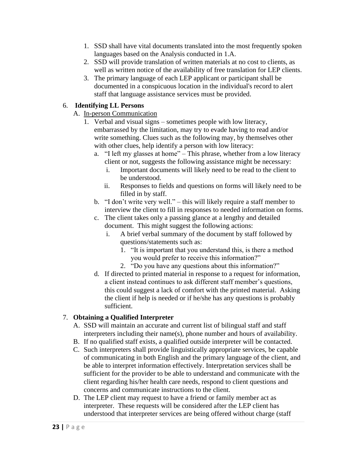- 1. SSD shall have vital documents translated into the most frequently spoken languages based on the Analysis conducted in 1.A.
- 2. SSD will provide translation of written materials at no cost to clients, as well as written notice of the availability of free translation for LEP clients.
- 3. The primary language of each LEP applicant or participant shall be documented in a conspicuous location in the individual's record to alert staff that language assistance services must be provided.

## 6. **Identifying LL Persons**

- A. In-person Communication
	- 1. Verbal and visual signs sometimes people with low literacy, embarrassed by the limitation, may try to evade having to read and/or write something. Clues such as the following may, by themselves other with other clues, help identify a person with low literacy:
		- a. "I left my glasses at home" This phrase, whether from a low literacy client or not, suggests the following assistance might be necessary:
			- i. Important documents will likely need to be read to the client to be understood.
			- ii. Responses to fields and questions on forms will likely need to be filled in by staff.
		- b. "I don't write very well." this will likely require a staff member to interview the client to fill in responses to needed information on forms.
		- c. The client takes only a passing glance at a lengthy and detailed document. This might suggest the following actions:
			- i. A brief verbal summary of the document by staff followed by questions/statements such as:
				- 1. "It is important that you understand this, is there a method you would prefer to receive this information?"
				- 2. "Do you have any questions about this information?"
		- d. If directed to printed material in response to a request for information, a client instead continues to ask different staff member's questions, this could suggest a lack of comfort with the printed material. Asking the client if help is needed or if he/she has any questions is probably sufficient.

## 7. **Obtaining a Qualified Interpreter**

- A. SSD will maintain an accurate and current list of bilingual staff and staff interpreters including their name(s), phone number and hours of availability.
- B. If no qualified staff exists, a qualified outside interpreter will be contacted.
- C. Such interpreters shall provide linguistically appropriate services, be capable of communicating in both English and the primary language of the client, and be able to interpret information effectively. Interpretation services shall be sufficient for the provider to be able to understand and communicate with the client regarding his/her health care needs, respond to client questions and concerns and communicate instructions to the client.
- D. The LEP client may request to have a friend or family member act as interpreter. These requests will be considered after the LEP client has understood that interpreter services are being offered without charge (staff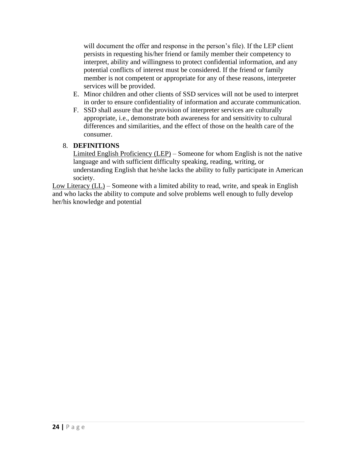will document the offer and response in the person's file). If the LEP client persists in requesting his/her friend or family member their competency to interpret, ability and willingness to protect confidential information, and any potential conflicts of interest must be considered. If the friend or family member is not competent or appropriate for any of these reasons, interpreter services will be provided.

- E. Minor children and other clients of SSD services will not be used to interpret in order to ensure confidentiality of information and accurate communication.
- F. SSD shall assure that the provision of interpreter services are culturally appropriate, i.e., demonstrate both awareness for and sensitivity to cultural differences and similarities, and the effect of those on the health care of the consumer.

## 8. **DEFINITIONS**

Limited English Proficiency (LEP) – Someone for whom English is not the native language and with sufficient difficulty speaking, reading, writing, or understanding English that he/she lacks the ability to fully participate in American society.

Low Literacy (LL) – Someone with a limited ability to read, write, and speak in English and who lacks the ability to compute and solve problems well enough to fully develop her/his knowledge and potential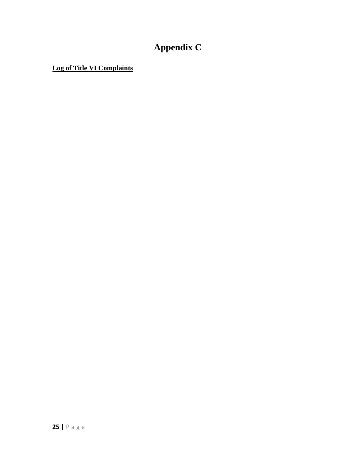## **Appendix C**

<span id="page-24-1"></span><span id="page-24-0"></span>**Log of Title VI Complaints**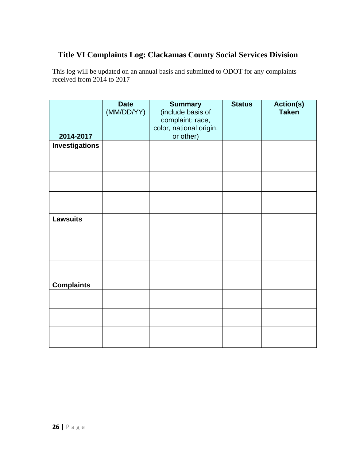## **Title VI Complaints Log: Clackamas County Social Services Division**

This log will be updated on an annual basis and submitted to ODOT for any complaints received from 2014 to 2017

|                       | <b>Date</b><br>(MM/DD/YY) | <b>Summary</b><br>(include basis of<br>complaint: race,<br>color, national origin, | <b>Status</b> | <b>Action(s)</b><br><b>Taken</b> |  |
|-----------------------|---------------------------|------------------------------------------------------------------------------------|---------------|----------------------------------|--|
| 2014-2017             |                           | or other)                                                                          |               |                                  |  |
| <b>Investigations</b> |                           |                                                                                    |               |                                  |  |
|                       |                           |                                                                                    |               |                                  |  |
|                       |                           |                                                                                    |               |                                  |  |
|                       |                           |                                                                                    |               |                                  |  |
| <b>Lawsuits</b>       |                           |                                                                                    |               |                                  |  |
|                       |                           |                                                                                    |               |                                  |  |
|                       |                           |                                                                                    |               |                                  |  |
|                       |                           |                                                                                    |               |                                  |  |
| <b>Complaints</b>     |                           |                                                                                    |               |                                  |  |
|                       |                           |                                                                                    |               |                                  |  |
|                       |                           |                                                                                    |               |                                  |  |
|                       |                           |                                                                                    |               |                                  |  |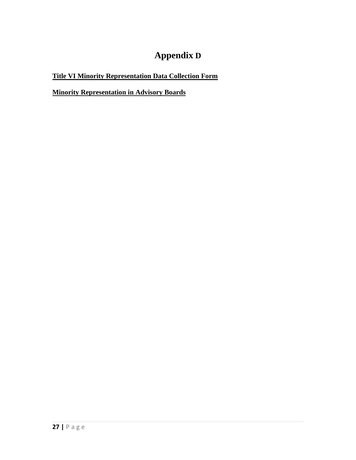## **Appendix D**

<span id="page-26-1"></span><span id="page-26-0"></span>**Title VI Minority Representation Data Collection Form** 

<span id="page-26-2"></span>**Minority Representation in Advisory Boards**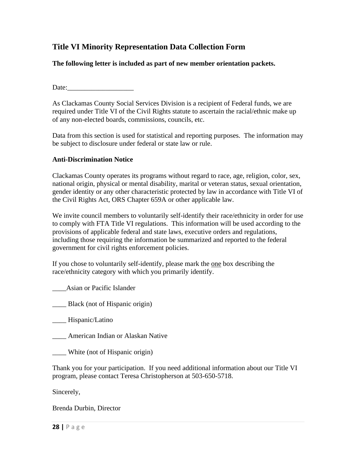## **Title VI Minority Representation Data Collection Form**

**The following letter is included as part of new member orientation packets.** 

Date:

As Clackamas County Social Services Division is a recipient of Federal funds, we are required under Title VI of the Civil Rights statute to ascertain the racial/ethnic make up of any non-elected boards, commissions, councils, etc.

Data from this section is used for statistical and reporting purposes. The information may be subject to disclosure under federal or state law or rule.

## **Anti-Discrimination Notice**

Clackamas County operates its programs without regard to race, age, religion, color, sex, national origin, physical or mental disability, marital or veteran status, sexual orientation, gender identity or any other characteristic protected by law in accordance with Title VI of the Civil Rights Act, ORS Chapter 659A or other applicable law.

We invite council members to voluntarily self-identify their race/ethnicity in order for use to comply with FTA Title VI regulations. This information will be used according to the provisions of applicable federal and state laws, executive orders and regulations, including those requiring the information be summarized and reported to the federal government for civil rights enforcement policies.

If you chose to voluntarily self-identify, please mark the one box describing the race/ethnicity category with which you primarily identify.

\_\_\_\_Asian or Pacific Islander

Black (not of Hispanic origin)

\_\_\_\_ Hispanic/Latino

\_\_\_\_ American Indian or Alaskan Native

\_\_\_\_ White (not of Hispanic origin)

Thank you for your participation. If you need additional information about our Title VI program, please contact Teresa Christopherson at 503-650-5718.

Sincerely,

Brenda Durbin, Director